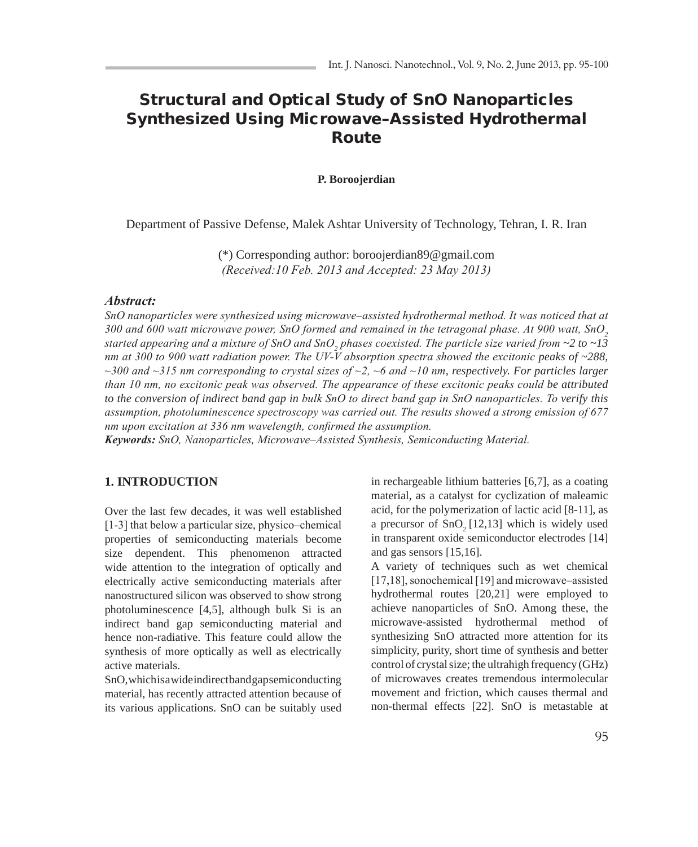# Structural and Optical Study of SnO Nanoparticles Synthesized Using Microwave–Assisted Hydrothermal Route

### **P. Boroojerdian**

Department of Passive Defense, Malek Ashtar University of Technology, Tehran, I. R. Iran

(\*) Corresponding author: boroojerdian89@gmail.com *(Received:10 Feb. 2013 and Accepted: 23 May 2013)*

### *Abstract:*

*SnO nanoparticles were synthesized using microwave–assisted hydrothermal method. It was noticed that at 300 and 600 watt microwave power, SnO formed and remained in the tetragonal phase. At 900 watt, SnO<sup>2</sup>* started appearing and a mixture of SnO and SnO<sub>2</sub> phases coexisted. The particle size varied from ~2 to ~13 *nm at 300 to 900 watt radiation power. The UV-V absorption spectra showed the excitonic peaks of ~288, ~300 and ~315 nm corresponding to crystal sizes of ~2, ~6 and ~10 nm, respectively. For particles larger than 10 nm, no excitonic peak was observed. The appearance of these excitonic peaks could be attributed to the conversion of indirect band gap in bulk SnO to direct band gap in SnO nanoparticles. To verify this assumption, photoluminescence spectroscopy was carried out. The results showed a strong emission of 677 nm upon excitation at 336 nm wavelength, confirmed the assumption.*

*Keywords: SnO, Nanoparticles, Microwave–Assisted Synthesis, Semiconducting Material.*

## **1. INTRODUCTION**

Over the last few decades, it was well established [1-3] that below a particular size, physico–chemical properties of semiconducting materials become size dependent. This phenomenon attracted wide attention to the integration of optically and electrically active semiconducting materials after nanostructured silicon was observed to show strong photoluminescence [4,5], although bulk Si is an indirect band gap semiconducting material and hence non-radiative. This feature could allow the synthesis of more optically as well as electrically active materials.

SnO, which is a wide indirect band gap semiconducting material, has recently attracted attention because of its various applications. SnO can be suitably used

in rechargeable lithium batteries [6,7], as a coating material, as a catalyst for cyclization of maleamic acid, for the polymerization of lactic acid [8-11], as a precursor of  $SnO<sub>2</sub>[12,13]$  which is widely used in transparent oxide semiconductor electrodes [14] and gas sensors [15,16].

A variety of techniques such as wet chemical [17,18], sonochemical [19] and microwave–assisted hydrothermal routes [20,21] were employed to achieve nanoparticles of SnO. Among these, the microwave-assisted hydrothermal method of synthesizing SnO attracted more attention for its simplicity, purity, short time of synthesis and better control of crystal size; the ultrahigh frequency (GHz) of microwaves creates tremendous intermolecular movement and friction, which causes thermal and non-thermal effects [22]. SnO is metastable at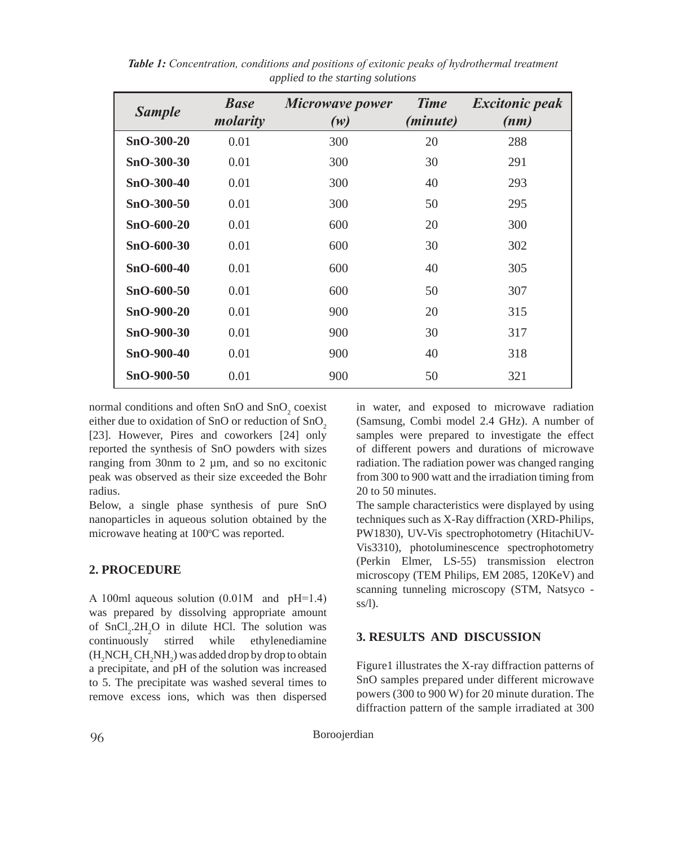| <b>Sample</b> | <b>Base</b><br>molarity | Microwave power<br>(w) | <b>Time</b><br>( <i>minute</i> ) | <b>Excitonic peak</b><br>(nm) |
|---------------|-------------------------|------------------------|----------------------------------|-------------------------------|
| SnO-300-20    | 0.01                    | 300                    | 20                               | 288                           |
| SnO-300-30    | 0.01                    | 300                    | 30                               | 291                           |
| SnO-300-40    | 0.01                    | 300                    | 40                               | 293                           |
| SnO-300-50    | 0.01                    | 300                    | 50                               | 295                           |
| $SnO-600-20$  | 0.01                    | 600                    | 20                               | 300                           |
| SnO-600-30    | 0.01                    | 600                    | 30                               | 302                           |
| SnO-600-40    | 0.01                    | 600                    | 40                               | 305                           |
| SnO-600-50    | 0.01                    | 600                    | 50                               | 307                           |
| SnO-900-20    | 0.01                    | 900                    | 20                               | 315                           |
| SnO-900-30    | 0.01                    | 900                    | 30                               | 317                           |
| SnO-900-40    | 0.01                    | 900                    | 40                               | 318                           |
| SnO-900-50    | 0.01                    | 900                    | 50                               | 321                           |

*Table 1: Concentration, conditions and positions of exitonic peaks of hydrothermal treatment applied to the starting solutions* 

normal conditions and often SnO and  $SnO<sub>2</sub>$  coexist either due to oxidation of SnO or reduction of SnO<sub>2</sub> [23]. However, Pires and coworkers [24] only reported the synthesis of SnO powders with sizes ranging from 30nm to 2 µm, and so no excitonic peak was observed as their size exceeded the Bohr radius.

Below, a single phase synthesis of pure SnO nanoparticles in aqueous solution obtained by the microwave heating at 100°C was reported.

## **2. PROCEDURE**

A 100ml aqueous solution (0.01M and pH=1.4) was prepared by dissolving appropriate amount of  $SnCl<sub>2</sub>·2H<sub>2</sub>O$  in dilute HCl. The solution was continuously stirred while ethylenediamine  $(H_2NCH_2CH_2NH_2)$  was added drop by drop to obtain a precipitate, and pH of the solution was increased to 5. The precipitate was washed several times to remove excess ions, which was then dispersed

in water, and exposed to microwave radiation (Samsung, Combi model 2.4 GHz). A number of samples were prepared to investigate the effect of different powers and durations of microwave radiation. The radiation power was changed ranging from 300 to 900 watt and the irradiation timing from 20 to 50 minutes.

The sample characteristics were displayed by using techniques such as X-Ray diffraction (XRD-Philips, PW1830), UV-Vis spectrophotometry (HitachiUV-Vis3310), photoluminescence spectrophotometry (Perkin Elmer, LS-55) transmission electron microscopy (TEM Philips, EM 2085, 120KeV) and scanning tunneling microscopy (STM, Natsyco ss/l).

# **3. RESULTS AND DISCUSSION**

Figure1 illustrates the X-ray diffraction patterns of SnO samples prepared under different microwave powers (300 to 900 W) for 20 minute duration. The diffraction pattern of the sample irradiated at 300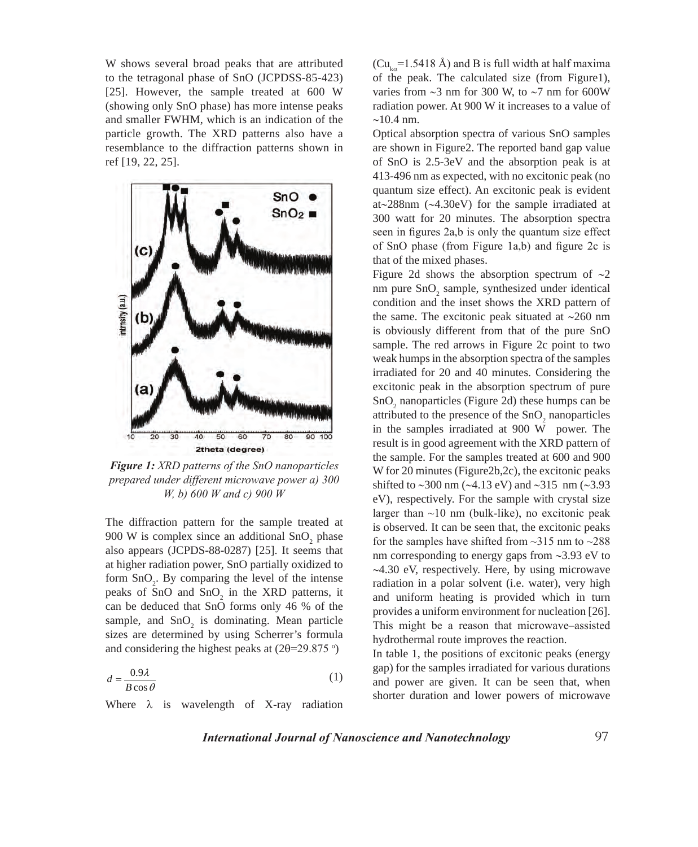W shows several broad peaks that are attributed to the tetragonal phase of SnO (JCPDSS-85-423) [25]. However, the sample treated at 600 W (showing only SnO phase) has more intense peaks and smaller FWHM, which is an indication of the particle growth. The XRD patterns also have a resemblance to the diffraction patterns shown in ref [19, 22, 25].



*Figure 1: XRD patterns of the SnO nanoparticles prepared under different microwave power a) 300 W, b) 600 W and c) 900 W* 

The diffraction pattern for the sample treated at 900 W is complex since an additional  $SnO<sub>2</sub>$  phase also appears (JCPDS-88-0287) [25]. It seems that at higher radiation power, SnO partially oxidized to form  $\text{SnO}_2$ . By comparing the level of the intense peaks of SnO and  $SnO<sub>2</sub>$  in the XRD patterns, it can be deduced that SnO forms only 46 % of the sample, and  $SnO<sub>2</sub>$  is dominating. Mean particle sizes are determined by using Scherrer's formula and considering the highest peaks at  $(2\theta=29.875)$ <sup>o</sup>)

$$
d = \frac{0.9\lambda}{B\cos\theta} \tag{1}
$$

Where  $\lambda$  is wavelength of X-ray radiation

 $(Cu_{k\alpha} = 1.5418 \text{ Å})$  and B is full width at half maxima of the peak. The calculated size (from Figure1), varies from  $\sim$ 3 nm for 300 W, to  $\sim$ 7 nm for 600W radiation power. At 900 W it increases to a value of  $~10.4$  nm.

Optical absorption spectra of various SnO samples are shown in Figure2. The reported band gap value of SnO is 2.5-3eV and the absorption peak is at 413-496 nm as expected, with no excitonic peak (no quantum size effect). An excitonic peak is evident at~288nm (~4.30eV) for the sample irradiated at 300 watt for 20 minutes. The absorption spectra seen in figures 2a,b is only the quantum size effect of SnO phase (from Figure 1a,b) and figure 2c is that of the mixed phases.

Figure 2d shows the absorption spectrum of  $\sim$ 2 nm pure  $SnO<sub>2</sub>$  sample, synthesized under identical condition and the inset shows the XRD pattern of the same. The excitonic peak situated at  $\sim$ 260 nm is obviously different from that of the pure SnO sample. The red arrows in Figure 2c point to two weak humps in the absorption spectra of the samples irradiated for 20 and 40 minutes. Considering the excitonic peak in the absorption spectrum of pure  $SnO<sub>2</sub>$  nanoparticles (Figure 2d) these humps can be attributed to the presence of the  $SnO<sub>2</sub>$  nanoparticles in the samples irradiated at 900 W power. The result is in good agreement with the XRD pattern of the sample. For the samples treated at 600 and 900 W for 20 minutes (Figure2b,2c), the excitonic peaks shifted to  $\sim$ 300 nm ( $\sim$ 4.13 eV) and  $\sim$ 315 nm ( $\sim$ 3.93 eV), respectively. For the sample with crystal size larger than  $\sim$ 10 nm (bulk-like), no excitonic peak is observed. It can be seen that, the excitonic peaks for the samples have shifted from  $\sim$ 315 nm to  $\sim$ 288 nm corresponding to energy gaps from  $\sim$ 3.93 eV to ~4.30 eV, respectively. Here, by using microwave radiation in a polar solvent (i.e. water), very high and uniform heating is provided which in turn provides a uniform environment for nucleation [26]. This might be a reason that microwave–assisted hydrothermal route improves the reaction.

In table 1, the positions of excitonic peaks (energy gap) for the samples irradiated for various durations and power are given. It can be seen that, when shorter duration and lower powers of microwave

*International Journal of Nanoscience and Nanotechnology*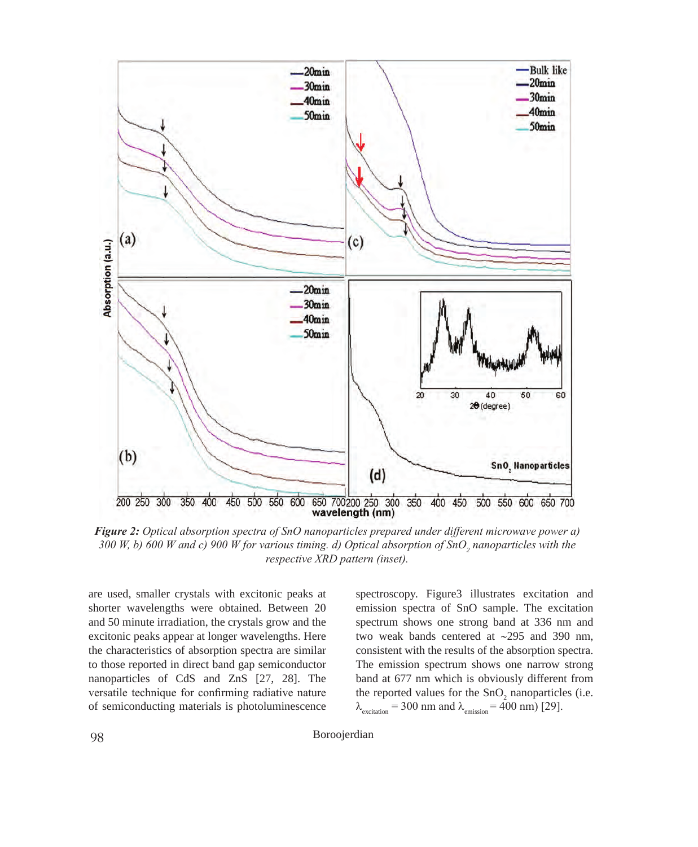

*Figure 2: Optical absorption spectra of SnO nanoparticles prepared under different microwave power a) 300 W, b) 600 W and c) 900 W for various timing. d) Optical absorption of SnO<sup>2</sup> nanoparticles with the respective XRD pattern (inset).*

are used, smaller crystals with excitonic peaks at shorter wavelengths were obtained. Between 20 and 50 minute irradiation, the crystals grow and the excitonic peaks appear at longer wavelengths. Here the characteristics of absorption spectra are similar to those reported in direct band gap semiconductor nanoparticles of CdS and ZnS [27, 28]. The versatile technique for confirming radiative nature of semiconducting materials is photoluminescence spectroscopy. Figure3 illustrates excitation and emission spectra of SnO sample. The excitation spectrum shows one strong band at 336 nm and two weak bands centered at ~295 and 390 nm, consistent with the results of the absorption spectra. The emission spectrum shows one narrow strong band at 677 nm which is obviously different from the reported values for the  $SnO<sub>2</sub>$  nanoparticles (i.e.  $\lambda_{\text{excitation}} = 300 \text{ nm}$  and  $\lambda_{\text{emission}} = 400 \text{ nm}$  [29].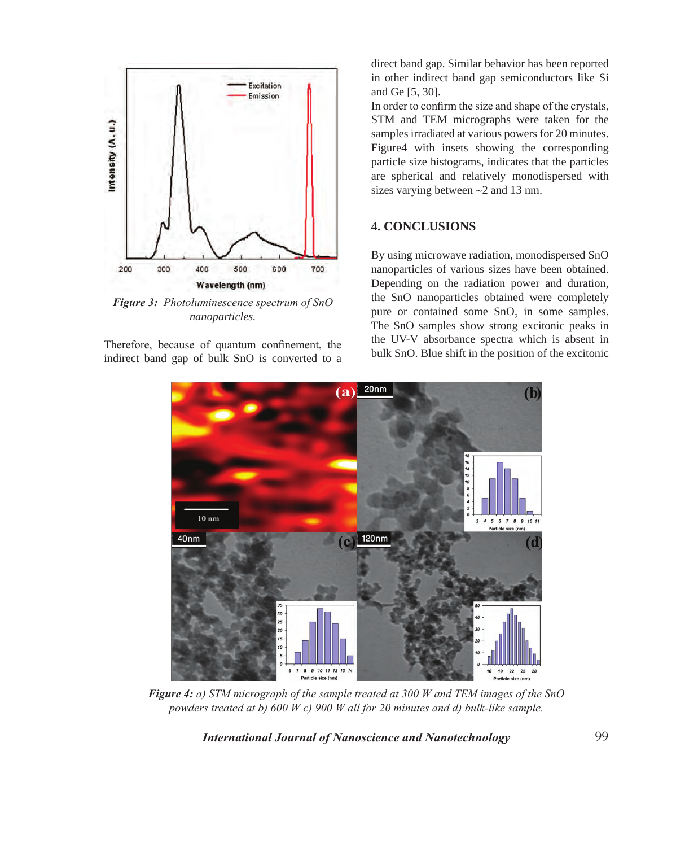

*Figure 3: Photoluminescence spectrum of SnO nanoparticles.*

Therefore, because of quantum confinement, the indirect band gap of bulk SnO is converted to a

direct band gap. Similar behavior has been reported in other indirect band gap semiconductors like Si and Ge [5, 30].

In order to confirm the size and shape of the crystals, STM and TEM micrographs were taken for the samples irradiated at various powers for 20 minutes. Figure4 with insets showing the corresponding particle size histograms, indicates that the particles are spherical and relatively monodispersed with sizes varying between  $\sim$ 2 and 13 nm.

# **4. CONCLUSIONS**

By using microwave radiation, monodispersed SnO nanoparticles of various sizes have been obtained. Depending on the radiation power and duration, the SnO nanoparticles obtained were completely pure or contained some  $SnO<sub>2</sub>$  in some samples. The SnO samples show strong excitonic peaks in the UV-V absorbance spectra which is absent in bulk SnO. Blue shift in the position of the excitonic

![](_page_4_Figure_7.jpeg)

*Figure 4: a) STM micrograph of the sample treated at 300 W and TEM images of the SnO powders treated at b) 600 W c) 900 W all for 20 minutes and d) bulk-like sample.*

*International Journal of Nanoscience and Nanotechnology*